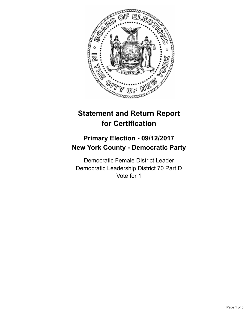

## **Statement and Return Report for Certification**

## **Primary Election - 09/12/2017 New York County - Democratic Party**

Democratic Female District Leader Democratic Leadership District 70 Part D Vote for 1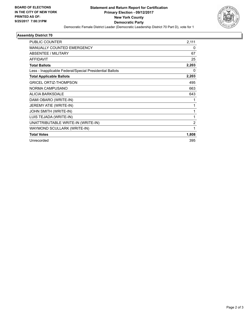

## **Assembly District 70**

| 2,111          |
|----------------|
| 0              |
| 67             |
| 25             |
| 2,203          |
| 0              |
| 2,203          |
| 495            |
| 663            |
| 643            |
| 1              |
| 1              |
| 1              |
| 1              |
| $\overline{2}$ |
| 1              |
| 1,808          |
| 395            |
|                |